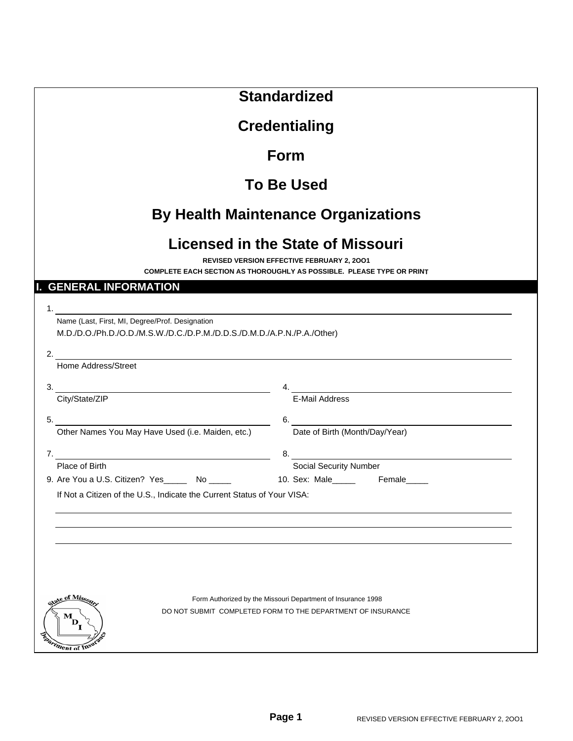|                                                                                                                             | <b>Standardized</b>                                                                                                                                                    |  |  |  |  |  |
|-----------------------------------------------------------------------------------------------------------------------------|------------------------------------------------------------------------------------------------------------------------------------------------------------------------|--|--|--|--|--|
|                                                                                                                             |                                                                                                                                                                        |  |  |  |  |  |
| <b>Credentialing</b>                                                                                                        |                                                                                                                                                                        |  |  |  |  |  |
|                                                                                                                             | Form                                                                                                                                                                   |  |  |  |  |  |
|                                                                                                                             | <b>To Be Used</b>                                                                                                                                                      |  |  |  |  |  |
|                                                                                                                             | <b>By Health Maintenance Organizations</b>                                                                                                                             |  |  |  |  |  |
|                                                                                                                             | <b>Licensed in the State of Missouri</b><br><b>REVISED VERSION EFFECTIVE FEBRUARY 2, 2001</b><br>COMPLETE EACH SECTION AS THOROUGHLY AS POSSIBLE. PLEASE TYPE OR PRINT |  |  |  |  |  |
| <b>GENERAL INFORMATION</b>                                                                                                  |                                                                                                                                                                        |  |  |  |  |  |
|                                                                                                                             |                                                                                                                                                                        |  |  |  |  |  |
| Name (Last, First, MI, Degree/Prof. Designation<br>M.D./D.O./Ph.D./O.D./M.S.W./D.C./D.P.M./D.D.S./D.M.D./A.P.N./P.A./Other) |                                                                                                                                                                        |  |  |  |  |  |
| 2. $\qquad \qquad$                                                                                                          |                                                                                                                                                                        |  |  |  |  |  |
| Home Address/Street                                                                                                         |                                                                                                                                                                        |  |  |  |  |  |
| 3.<br>City/State/ZIP                                                                                                        | 4.<br><b>E-Mail Address</b>                                                                                                                                            |  |  |  |  |  |
|                                                                                                                             |                                                                                                                                                                        |  |  |  |  |  |
| 5.<br>Other Names You May Have Used (i.e. Maiden, etc.)                                                                     | 6. Date of Birth (Month/Day/Year)                                                                                                                                      |  |  |  |  |  |
|                                                                                                                             |                                                                                                                                                                        |  |  |  |  |  |
| Place of Birth                                                                                                              | 8.<br>Social Security Number<br>Contract Decurity Number                                                                                                               |  |  |  |  |  |
| 9. Are You a U.S. Citizen? Yes _______ No ______ 10. Sex: Male _____ Female ____                                            |                                                                                                                                                                        |  |  |  |  |  |
| If Not a Citizen of the U.S., Indicate the Current Status of Your VISA:                                                     |                                                                                                                                                                        |  |  |  |  |  |
|                                                                                                                             |                                                                                                                                                                        |  |  |  |  |  |
|                                                                                                                             |                                                                                                                                                                        |  |  |  |  |  |
|                                                                                                                             |                                                                                                                                                                        |  |  |  |  |  |
|                                                                                                                             |                                                                                                                                                                        |  |  |  |  |  |
|                                                                                                                             |                                                                                                                                                                        |  |  |  |  |  |
| state of Missou<br>D                                                                                                        | Form Authorized by the Missouri Department of Insurance 1998<br>DO NOT SUBMIT COMPLETED FORM TO THE DEPARTMENT OF INSURANCE                                            |  |  |  |  |  |
| Enartment of Insura                                                                                                         |                                                                                                                                                                        |  |  |  |  |  |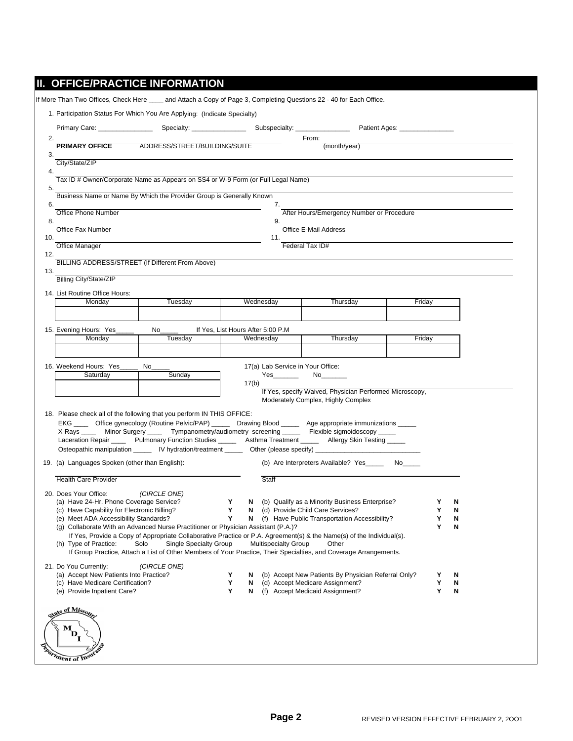|                                                                                                                                                                                         | Primary Care: Specialty: Specialty:                                                                                                                                                                                                       |        |                                                 | From:                                                                                                                                                                                                                                               |        |        |        |
|-----------------------------------------------------------------------------------------------------------------------------------------------------------------------------------------|-------------------------------------------------------------------------------------------------------------------------------------------------------------------------------------------------------------------------------------------|--------|-------------------------------------------------|-----------------------------------------------------------------------------------------------------------------------------------------------------------------------------------------------------------------------------------------------------|--------|--------|--------|
| <b>PRIMARY OFFICE</b>                                                                                                                                                                   | ADDRESS/STREET/BUILDING/SUITE                                                                                                                                                                                                             |        |                                                 | (month/year)                                                                                                                                                                                                                                        |        |        |        |
| City/State/ZIP                                                                                                                                                                          |                                                                                                                                                                                                                                           |        |                                                 |                                                                                                                                                                                                                                                     |        |        |        |
|                                                                                                                                                                                         | Tax ID # Owner/Corporate Name as Appears on SS4 or W-9 Form (or Full Legal Name)                                                                                                                                                          |        |                                                 |                                                                                                                                                                                                                                                     |        |        |        |
|                                                                                                                                                                                         | Business Name or Name By Which the Provider Group is Generally Known                                                                                                                                                                      |        |                                                 |                                                                                                                                                                                                                                                     |        |        |        |
| <b>Office Phone Number</b>                                                                                                                                                              |                                                                                                                                                                                                                                           |        | 7.                                              | After Hours/Emergency Number or Procedure                                                                                                                                                                                                           |        |        |        |
|                                                                                                                                                                                         |                                                                                                                                                                                                                                           |        | 9.                                              |                                                                                                                                                                                                                                                     |        |        |        |
| Office Fax Number                                                                                                                                                                       |                                                                                                                                                                                                                                           |        | 11.                                             | Office E-Mail Address                                                                                                                                                                                                                               |        |        |        |
| <b>Office Manager</b>                                                                                                                                                                   |                                                                                                                                                                                                                                           |        |                                                 | Federal Tax ID#                                                                                                                                                                                                                                     |        |        |        |
|                                                                                                                                                                                         | BILLING ADDRESS/STREET (If Different From Above)                                                                                                                                                                                          |        |                                                 |                                                                                                                                                                                                                                                     |        |        |        |
| Billing City/State/ZIP                                                                                                                                                                  |                                                                                                                                                                                                                                           |        |                                                 |                                                                                                                                                                                                                                                     |        |        |        |
| 14. List Routine Office Hours:                                                                                                                                                          |                                                                                                                                                                                                                                           |        |                                                 |                                                                                                                                                                                                                                                     |        |        |        |
| Monday                                                                                                                                                                                  | Tuesday                                                                                                                                                                                                                                   |        | Wednesday                                       | Thursday                                                                                                                                                                                                                                            | Friday |        |        |
|                                                                                                                                                                                         |                                                                                                                                                                                                                                           |        |                                                 |                                                                                                                                                                                                                                                     |        |        |        |
| 15. Evening Hours: Yes_<br>Monday                                                                                                                                                       | No control to the North State of the North State of the North State of the North State of the North State of the North State of the North State of the North State of the North State of the North State of the North State of<br>Tuesday |        | If Yes, List Hours After 5:00 P.M.<br>Wednesday | Thursday                                                                                                                                                                                                                                            | Friday |        |        |
|                                                                                                                                                                                         |                                                                                                                                                                                                                                           |        |                                                 |                                                                                                                                                                                                                                                     |        |        |        |
| 16. Weekend Hours: Yes_                                                                                                                                                                 | No                                                                                                                                                                                                                                        |        | 17(a) Lab Service in Your Office:               |                                                                                                                                                                                                                                                     |        |        |        |
| Saturday                                                                                                                                                                                | Sunday                                                                                                                                                                                                                                    |        | Yes                                             | No                                                                                                                                                                                                                                                  |        |        |        |
|                                                                                                                                                                                         |                                                                                                                                                                                                                                           |        |                                                 |                                                                                                                                                                                                                                                     |        |        |        |
|                                                                                                                                                                                         |                                                                                                                                                                                                                                           |        | 17(b)                                           | If Yes, specify Waived, Physician Performed Microscopy,                                                                                                                                                                                             |        |        |        |
|                                                                                                                                                                                         |                                                                                                                                                                                                                                           |        |                                                 | Moderately Complex, Highly Complex                                                                                                                                                                                                                  |        |        |        |
|                                                                                                                                                                                         | 18. Please check all of the following that you perform IN THIS OFFICE:                                                                                                                                                                    |        |                                                 |                                                                                                                                                                                                                                                     |        |        |        |
|                                                                                                                                                                                         |                                                                                                                                                                                                                                           |        |                                                 | EKG _____ Office gynecology (Routine Pelvic/PAP) _____ Drawing Blood _____ Age appropriate immunizations _____                                                                                                                                      |        |        |        |
|                                                                                                                                                                                         |                                                                                                                                                                                                                                           |        |                                                 | X-Rays ______ Minor Surgery _______ Tympanometry/audiometry screening ________ Flexible sigmoidoscopy _____<br>Laceration Repair ______ Pulmonary Function Studies _______ Asthma Treatment ______ Allergy Skin Testing _____                       |        |        |        |
|                                                                                                                                                                                         |                                                                                                                                                                                                                                           |        |                                                 |                                                                                                                                                                                                                                                     |        |        |        |
|                                                                                                                                                                                         |                                                                                                                                                                                                                                           |        |                                                 | (b) Are Interpreters Available? Yes No                                                                                                                                                                                                              |        |        |        |
|                                                                                                                                                                                         |                                                                                                                                                                                                                                           |        | Staff                                           |                                                                                                                                                                                                                                                     |        |        |        |
| 19. (a) Languages Spoken (other than English):<br><b>Health Care Provider</b><br>20. Does Your Office:                                                                                  | (CIRCLE ONE)                                                                                                                                                                                                                              |        |                                                 |                                                                                                                                                                                                                                                     |        |        |        |
| (a) Have 24-Hr. Phone Coverage Service?<br>(c) Have Capability for Electronic Billing?                                                                                                  |                                                                                                                                                                                                                                           | Y<br>Y | N<br>N                                          | (b) Qualify as a Minority Business Enterprise?<br>(d) Provide Child Care Services?                                                                                                                                                                  |        | Y<br>Υ | N<br>N |
| (e) Meet ADA Accessibility Standards?                                                                                                                                                   |                                                                                                                                                                                                                                           | Y      | N                                               | (f) Have Public Transportation Accessibility?                                                                                                                                                                                                       |        | Y      | N      |
|                                                                                                                                                                                         | (g) Collaborate With an Advanced Nurse Practitioner or Physician Assistant (P.A.)?                                                                                                                                                        |        |                                                 |                                                                                                                                                                                                                                                     |        | Y      | N      |
|                                                                                                                                                                                         | Solo<br>Single Specialty Group                                                                                                                                                                                                            |        | <b>Multispecialty Group</b>                     | If Yes, Provide a Copy of Appropriate Collaborative Practice or P.A. Agreement(s) & the Name(s) of the Individual(s).<br>Other<br>If Group Practice, Attach a List of Other Members of Your Practice, Their Specialties, and Coverage Arrangements. |        |        |        |
|                                                                                                                                                                                         | (CIRCLE ONE)                                                                                                                                                                                                                              |        |                                                 |                                                                                                                                                                                                                                                     |        |        |        |
|                                                                                                                                                                                         |                                                                                                                                                                                                                                           | Y      | N                                               | (b) Accept New Patients By Physician Referral Only?                                                                                                                                                                                                 |        | Y      | N      |
|                                                                                                                                                                                         |                                                                                                                                                                                                                                           | Y<br>Y | N<br>N                                          | (d) Accept Medicare Assignment?<br>(f) Accept Medicaid Assignment?                                                                                                                                                                                  |        | Y<br>Υ | N<br>N |
|                                                                                                                                                                                         |                                                                                                                                                                                                                                           |        |                                                 |                                                                                                                                                                                                                                                     |        |        |        |
| (h) Type of Practice:<br>21. Do You Currently:<br>(a) Accept New Patients Into Practice?<br>(c) Have Medicare Certification?<br>(e) Provide Inpatient Care?<br>re <u>of Missou</u><br>м |                                                                                                                                                                                                                                           |        |                                                 |                                                                                                                                                                                                                                                     |        |        |        |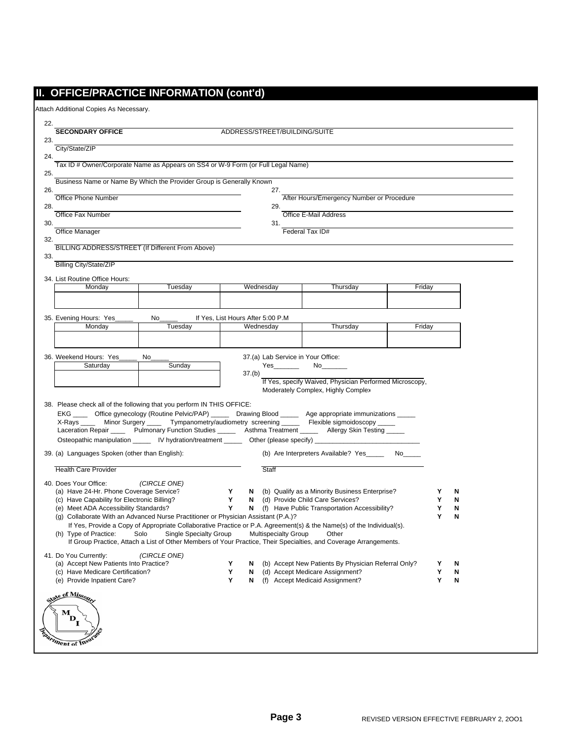## **II. OFFICE/PRACTICE INFORMATION (cont'd)**

Attach Additional Copies As Necessary.

| <b>SECONDARY OFFICE</b>                                                                 |                                                                                    |        | ADDRESS/STREET/BUILDING/SUITE      |                                                                                                                                                                                                   |        |        |        |  |
|-----------------------------------------------------------------------------------------|------------------------------------------------------------------------------------|--------|------------------------------------|---------------------------------------------------------------------------------------------------------------------------------------------------------------------------------------------------|--------|--------|--------|--|
| 23.                                                                                     |                                                                                    |        |                                    |                                                                                                                                                                                                   |        |        |        |  |
| City/State/ZIP                                                                          |                                                                                    |        |                                    |                                                                                                                                                                                                   |        |        |        |  |
| 24.<br>Tax ID # Owner/Corporate Name as Appears on SS4 or W-9 Form (or Full Legal Name) |                                                                                    |        |                                    |                                                                                                                                                                                                   |        |        |        |  |
| 25.                                                                                     |                                                                                    |        |                                    |                                                                                                                                                                                                   |        |        |        |  |
| Business Name or Name By Which the Provider Group is Generally Known<br>26.             |                                                                                    |        | 27.                                |                                                                                                                                                                                                   |        |        |        |  |
| Office Phone Number                                                                     |                                                                                    |        |                                    | After Hours/Emergency Number or Procedure                                                                                                                                                         |        |        |        |  |
| 28.<br>Office Fax Number                                                                |                                                                                    |        | 29.                                | Office E-Mail Address                                                                                                                                                                             |        |        |        |  |
| 30.                                                                                     |                                                                                    |        | 31.                                |                                                                                                                                                                                                   |        |        |        |  |
| <b>Office Manager</b>                                                                   |                                                                                    |        |                                    | Federal Tax ID#                                                                                                                                                                                   |        |        |        |  |
| 32.<br>BILLING ADDRESS/STREET (If Different From Above)                                 |                                                                                    |        |                                    |                                                                                                                                                                                                   |        |        |        |  |
| 33.                                                                                     |                                                                                    |        |                                    |                                                                                                                                                                                                   |        |        |        |  |
| <b>Billing City/State/ZIP</b>                                                           |                                                                                    |        |                                    |                                                                                                                                                                                                   |        |        |        |  |
| 34. List Routine Office Hours:                                                          |                                                                                    |        |                                    |                                                                                                                                                                                                   |        |        |        |  |
| Monday                                                                                  | Tuesday                                                                            |        | Wednesday                          | Thursday                                                                                                                                                                                          | Friday |        |        |  |
|                                                                                         |                                                                                    |        |                                    |                                                                                                                                                                                                   |        |        |        |  |
| 35. Evening Hours: Yes                                                                  | No                                                                                 |        | If Yes, List Hours After 5:00 P.M  |                                                                                                                                                                                                   |        |        |        |  |
| Monday                                                                                  | Tuesday                                                                            |        | Wednesday                          | Thursday                                                                                                                                                                                          | Friday |        |        |  |
|                                                                                         |                                                                                    |        |                                    |                                                                                                                                                                                                   |        |        |        |  |
| 36. Weekend Hours: Yes                                                                  | No                                                                                 |        | 37.(a) Lab Service in Your Office: |                                                                                                                                                                                                   |        |        |        |  |
| Saturday                                                                                | Sunday                                                                             |        | Yes                                | No                                                                                                                                                                                                |        |        |        |  |
|                                                                                         |                                                                                    |        |                                    |                                                                                                                                                                                                   |        |        |        |  |
|                                                                                         |                                                                                    |        | 37.(b)                             |                                                                                                                                                                                                   |        |        |        |  |
|                                                                                         |                                                                                    |        |                                    | If Yes, specify Waived, Physician Performed Microscopy,<br>Moderately Complex, Highly Complex                                                                                                     |        |        |        |  |
|                                                                                         |                                                                                    |        |                                    |                                                                                                                                                                                                   |        |        |        |  |
| 38. Please check all of the following that you perform IN THIS OFFICE:                  |                                                                                    |        |                                    | EKG _____ Office gynecology (Routine Pelvic/PAP) _____ Drawing Blood _____ Age appropriate immunizations _____                                                                                    |        |        |        |  |
| X-Rays ____                                                                             |                                                                                    |        |                                    | Minor Surgery ______ Tympanometry/audiometry screening _______ Flexible sigmoidoscopy _____                                                                                                       |        |        |        |  |
|                                                                                         |                                                                                    |        |                                    | Laceration Repair ______ Pulmonary Function Studies _______ Asthma Treatment ______ Allergy Skin Testing _____                                                                                    |        |        |        |  |
|                                                                                         |                                                                                    |        |                                    | Osteopathic manipulation ______ IV hydration/treatment _____ Other (please specify) __________________________                                                                                    |        |        |        |  |
| 39. (a) Languages Spoken (other than English):                                          |                                                                                    |        |                                    | (b) Are Interpreters Available? Yes ________ No______                                                                                                                                             |        |        |        |  |
| <b>Health Care Provider</b>                                                             |                                                                                    |        | Staff                              |                                                                                                                                                                                                   |        |        |        |  |
| 40. Does Your Office:                                                                   | (CIRCLE ONE)                                                                       |        |                                    |                                                                                                                                                                                                   |        |        |        |  |
| (a) Have 24-Hr. Phone Coverage Service?                                                 |                                                                                    | Y      | N                                  | (b) Qualify as a Minority Business Enterprise?                                                                                                                                                    |        | Y      | N      |  |
| (c) Have Capability for Electronic Billing?<br>(e) Meet ADA Accessibility Standards?    |                                                                                    | Y<br>Y | N<br>N                             | (d) Provide Child Care Services?<br>(f) Have Public Transportation Accessibility?                                                                                                                 |        | Y<br>Y | N<br>N |  |
|                                                                                         | (g) Collaborate With an Advanced Nurse Practitioner or Physician Assistant (P.A.)? |        |                                    |                                                                                                                                                                                                   |        | Y      | N      |  |
|                                                                                         |                                                                                    |        |                                    | If Yes, Provide a Copy of Appropriate Collaborative Practice or P.A. Agreement(s) & the Name(s) of the Individual(s).                                                                             |        |        |        |  |
|                                                                                         |                                                                                    |        |                                    | (h) Type of Practice: Solo Single Specialty Group Multispecialty Group Other<br>If Group Practice, Attach a List of Other Members of Your Practice, Their Specialties, and Coverage Arrangements. |        |        |        |  |
| 41. Do You Currently:                                                                   | (CIRCLE ONE)                                                                       |        |                                    |                                                                                                                                                                                                   |        |        |        |  |
| (a) Accept New Patients Into Practice?                                                  |                                                                                    | Y      | N                                  | (b) Accept New Patients By Physician Referral Only?                                                                                                                                               |        | Y      | N      |  |
| (c) Have Medicare Certification?                                                        |                                                                                    | Y      | N                                  | (d) Accept Medicare Assignment?                                                                                                                                                                   |        | Υ      | N      |  |
| (e) Provide Inpatient Care?                                                             |                                                                                    | Y      | N                                  | (f) Accept Medicaid Assignment?                                                                                                                                                                   |        | Y      | N      |  |
| state of Missour                                                                        |                                                                                    |        |                                    |                                                                                                                                                                                                   |        |        |        |  |
| м                                                                                       |                                                                                    |        |                                    |                                                                                                                                                                                                   |        |        |        |  |
| D                                                                                       |                                                                                    |        |                                    |                                                                                                                                                                                                   |        |        |        |  |
| Penartment of Insur                                                                     |                                                                                    |        |                                    |                                                                                                                                                                                                   |        |        |        |  |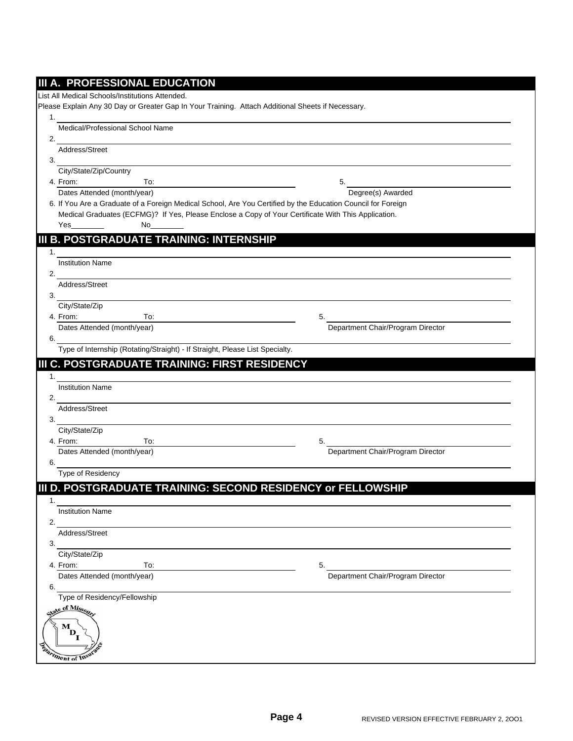|    | III A. PROFESSIONAL EDUCATION                                                                                                                                                                                                                                                                                          |                                                             |  |
|----|------------------------------------------------------------------------------------------------------------------------------------------------------------------------------------------------------------------------------------------------------------------------------------------------------------------------|-------------------------------------------------------------|--|
|    | List All Medical Schools/Institutions Attended.                                                                                                                                                                                                                                                                        |                                                             |  |
|    | Please Explain Any 30 Day or Greater Gap In Your Training. Attach Additional Sheets if Necessary.                                                                                                                                                                                                                      |                                                             |  |
| 1. | and the control of the control of the control of the control of the control of the control of the control of the                                                                                                                                                                                                       |                                                             |  |
|    | Medical/Professional School Name                                                                                                                                                                                                                                                                                       |                                                             |  |
| 2. | <u> 1989 - Johann Stoff, deutscher Stoff, der Stoff, der Stoff, der Stoff, der Stoff, der Stoff, der Stoff, der S</u>                                                                                                                                                                                                  |                                                             |  |
|    | Address/Street                                                                                                                                                                                                                                                                                                         |                                                             |  |
| 3. |                                                                                                                                                                                                                                                                                                                        |                                                             |  |
|    | City/State/Zip/Country                                                                                                                                                                                                                                                                                                 |                                                             |  |
|    | 4. From:<br>To:                                                                                                                                                                                                                                                                                                        | 5.<br><u> 1980 - Johann Stein, fransk politik (d. 1980)</u> |  |
|    | Dates Attended (month/year)                                                                                                                                                                                                                                                                                            | Degree(s) Awarded                                           |  |
|    | 6. If You Are a Graduate of a Foreign Medical School, Are You Certified by the Education Council for Foreign<br>Medical Graduates (ECFMG)? If Yes, Please Enclose a Copy of Your Certificate With This Application.                                                                                                    |                                                             |  |
|    | Yes<br>No                                                                                                                                                                                                                                                                                                              |                                                             |  |
|    |                                                                                                                                                                                                                                                                                                                        |                                                             |  |
|    | III B. POSTGRADUATE TRAINING: INTERNSHIP                                                                                                                                                                                                                                                                               |                                                             |  |
| 1. |                                                                                                                                                                                                                                                                                                                        |                                                             |  |
|    | <b>Institution Name</b>                                                                                                                                                                                                                                                                                                |                                                             |  |
| 2. | Address/Street                                                                                                                                                                                                                                                                                                         |                                                             |  |
| 3. |                                                                                                                                                                                                                                                                                                                        |                                                             |  |
|    | City/State/Zip                                                                                                                                                                                                                                                                                                         |                                                             |  |
|    | 4. From:<br>To:                                                                                                                                                                                                                                                                                                        | 5.                                                          |  |
|    | Dates Attended (month/year)                                                                                                                                                                                                                                                                                            | Department Chair/Program Director                           |  |
| 6. |                                                                                                                                                                                                                                                                                                                        |                                                             |  |
|    | Type of Internship (Rotating/Straight) - If Straight, Please List Specialty.                                                                                                                                                                                                                                           |                                                             |  |
|    | III C. POSTGRADUATE TRAINING: FIRST RESIDENCY                                                                                                                                                                                                                                                                          |                                                             |  |
| 1. |                                                                                                                                                                                                                                                                                                                        |                                                             |  |
|    | <b>Institution Name</b>                                                                                                                                                                                                                                                                                                |                                                             |  |
|    | 2. $\frac{1}{2}$ $\frac{1}{2}$ $\frac{1}{2}$ $\frac{1}{2}$ $\frac{1}{2}$ $\frac{1}{2}$ $\frac{1}{2}$ $\frac{1}{2}$ $\frac{1}{2}$ $\frac{1}{2}$ $\frac{1}{2}$ $\frac{1}{2}$ $\frac{1}{2}$ $\frac{1}{2}$ $\frac{1}{2}$ $\frac{1}{2}$ $\frac{1}{2}$ $\frac{1}{2}$ $\frac{1}{2}$ $\frac{1}{2}$ $\frac{1}{2}$ $\frac{1}{2}$ |                                                             |  |
|    | Address/Street                                                                                                                                                                                                                                                                                                         |                                                             |  |
| 3. |                                                                                                                                                                                                                                                                                                                        |                                                             |  |
|    | City/State/Zip                                                                                                                                                                                                                                                                                                         |                                                             |  |
|    | 4. From:<br>To:                                                                                                                                                                                                                                                                                                        | 5.                                                          |  |
|    | Dates Attended (month/year)                                                                                                                                                                                                                                                                                            | Department Chair/Program Director                           |  |
| 6. | <u> 1989 - John Stein, Amerikaansk politiker (</u><br>Type of Residency                                                                                                                                                                                                                                                |                                                             |  |
|    |                                                                                                                                                                                                                                                                                                                        |                                                             |  |
|    | III D. POSTGRADUATE TRAINING: SECOND RESIDENCY or FELLOWSHIP                                                                                                                                                                                                                                                           |                                                             |  |
| 1. |                                                                                                                                                                                                                                                                                                                        |                                                             |  |
|    | <b>Institution Name</b>                                                                                                                                                                                                                                                                                                |                                                             |  |
| 2. |                                                                                                                                                                                                                                                                                                                        |                                                             |  |
|    | Address/Street                                                                                                                                                                                                                                                                                                         |                                                             |  |
| 3. | City/State/Zip                                                                                                                                                                                                                                                                                                         |                                                             |  |
|    | 4. From:<br>To:                                                                                                                                                                                                                                                                                                        | 5.                                                          |  |
|    | Dates Attended (month/year)                                                                                                                                                                                                                                                                                            | Department Chair/Program Director                           |  |
| 6. |                                                                                                                                                                                                                                                                                                                        |                                                             |  |
|    | Type of Residency/Fellowship                                                                                                                                                                                                                                                                                           |                                                             |  |
|    | vate of Missou                                                                                                                                                                                                                                                                                                         |                                                             |  |
|    |                                                                                                                                                                                                                                                                                                                        |                                                             |  |
|    | м<br>D                                                                                                                                                                                                                                                                                                                 |                                                             |  |
|    |                                                                                                                                                                                                                                                                                                                        |                                                             |  |
|    | ment of Insu                                                                                                                                                                                                                                                                                                           |                                                             |  |
|    |                                                                                                                                                                                                                                                                                                                        |                                                             |  |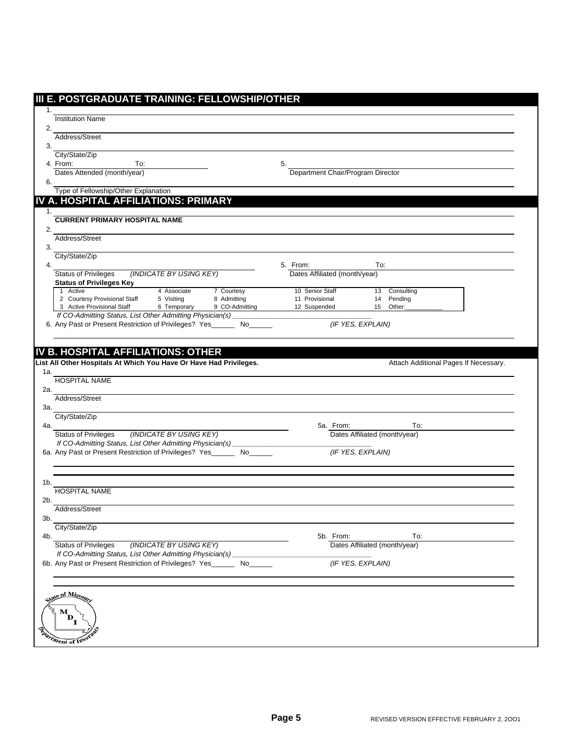| <b>Institution Name</b>                                                                                                                                                                                                                                                     |                           |                               |                                           |                   |                                       |  |
|-----------------------------------------------------------------------------------------------------------------------------------------------------------------------------------------------------------------------------------------------------------------------------|---------------------------|-------------------------------|-------------------------------------------|-------------------|---------------------------------------|--|
| Address/Street                                                                                                                                                                                                                                                              |                           |                               |                                           |                   |                                       |  |
|                                                                                                                                                                                                                                                                             |                           |                               |                                           |                   |                                       |  |
| City/State/Zip<br>4. From:<br>To:                                                                                                                                                                                                                                           |                           |                               | 5.                                        |                   |                                       |  |
| Dates Attended (month/year)                                                                                                                                                                                                                                                 |                           |                               | Department Chair/Program Director         |                   |                                       |  |
|                                                                                                                                                                                                                                                                             |                           |                               |                                           |                   |                                       |  |
| Type of Fellowship/Other Explanation<br>IV A. HOSPITAL AFFILIATIONS: PRIMARY                                                                                                                                                                                                |                           |                               |                                           |                   |                                       |  |
|                                                                                                                                                                                                                                                                             |                           |                               |                                           |                   |                                       |  |
| <b>CURRENT PRIMARY HOSPITAL NAME</b>                                                                                                                                                                                                                                        |                           |                               |                                           |                   |                                       |  |
| Address/Street                                                                                                                                                                                                                                                              |                           |                               |                                           |                   |                                       |  |
| City/State/Zip                                                                                                                                                                                                                                                              |                           |                               |                                           |                   |                                       |  |
| <b>Status of Privileges</b>                                                                                                                                                                                                                                                 | (INDICATE BY USING KEY)   |                               | 5. From:<br>Dates Affiliated (month/year) | To:               |                                       |  |
| <b>Status of Privileges Key</b>                                                                                                                                                                                                                                             |                           |                               |                                           |                   |                                       |  |
| 1 Active                                                                                                                                                                                                                                                                    | 4 Associate               | 7 Courtesy                    | 10 Senior Staff                           | 13                | Consulting                            |  |
| 2 Courtesy Provisional Staff<br>3 Active Provisional Staff                                                                                                                                                                                                                  | 5 Visiting<br>6 Temporary | 8 Admitting<br>9 CO-Admitting | 11 Provisional<br>12 Suspended            | 14                | Pending<br>15 Other:                  |  |
| If CO-Admitting Status, List Other Admitting Physician(s)                                                                                                                                                                                                                   |                           |                               |                                           |                   |                                       |  |
| 6. Any Past or Present Restriction of Privileges? Yes_______ No___                                                                                                                                                                                                          |                           |                               |                                           | (IF YES, EXPLAIN) |                                       |  |
|                                                                                                                                                                                                                                                                             |                           |                               |                                           |                   | Attach Additional Pages If Necessary. |  |
|                                                                                                                                                                                                                                                                             |                           |                               |                                           |                   |                                       |  |
|                                                                                                                                                                                                                                                                             |                           |                               |                                           |                   |                                       |  |
|                                                                                                                                                                                                                                                                             |                           |                               | 5a. From:                                 |                   | To:                                   |  |
|                                                                                                                                                                                                                                                                             | (INDICATE BY USING KEY)   |                               |                                           |                   | Dates Affiliated (month/year)         |  |
| IV B. HOSPITAL AFFILIATIONS: OTHER<br>List All Other Hospitals At Which You Have Or Have Had Privileges.<br><b>HOSPITAL NAME</b><br>Address/Street<br>City/State/Zip<br><b>Status of Privileges</b><br>If CO-Admitting Status, List Other Admitting Physician(s) __________ |                           |                               |                                           |                   |                                       |  |
|                                                                                                                                                                                                                                                                             |                           |                               |                                           | (IF YES, EXPLAIN) |                                       |  |
| 6a. Any Past or Present Restriction of Privileges? Yes_______ No______                                                                                                                                                                                                      |                           |                               |                                           |                   |                                       |  |
|                                                                                                                                                                                                                                                                             |                           |                               |                                           |                   |                                       |  |
| <b>HOSPITAL NAME</b><br>Address/Street                                                                                                                                                                                                                                      |                           |                               |                                           |                   |                                       |  |
|                                                                                                                                                                                                                                                                             |                           |                               |                                           |                   |                                       |  |
| City/State/Zip                                                                                                                                                                                                                                                              |                           |                               |                                           |                   |                                       |  |
|                                                                                                                                                                                                                                                                             |                           |                               | 5b. From:                                 |                   | To:                                   |  |
| <b>Status of Privileges</b><br>If CO-Admitting Status, List Other Admitting Physician(s)_                                                                                                                                                                                   | (INDICATE BY USING KEY)   |                               |                                           |                   | Dates Affiliated (month/year)         |  |
|                                                                                                                                                                                                                                                                             |                           | No                            |                                           | (IF YES, EXPLAIN) |                                       |  |
| 6b. Any Past or Present Restriction of Privileges? Yes_                                                                                                                                                                                                                     |                           |                               |                                           |                   |                                       |  |
| tate of Misson<br>м                                                                                                                                                                                                                                                         |                           |                               |                                           |                   |                                       |  |
|                                                                                                                                                                                                                                                                             |                           |                               |                                           |                   |                                       |  |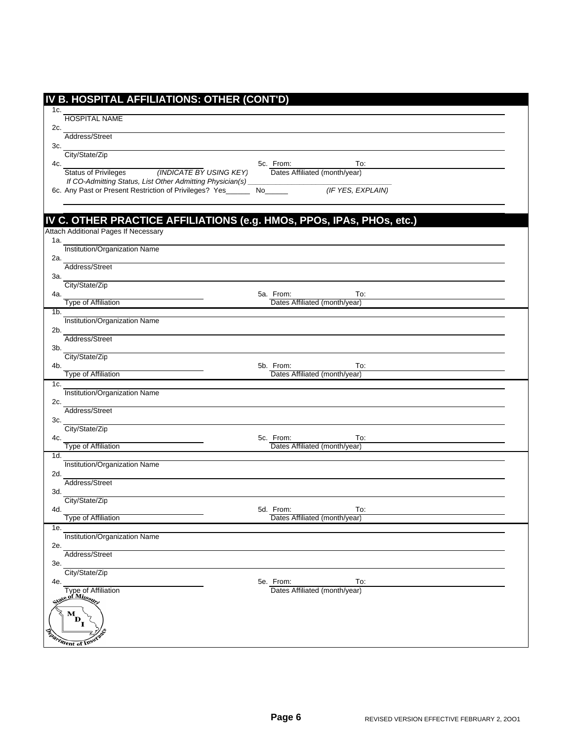|                 | IV B. HOSPITAL AFFILIATIONS: OTHER (CONT'D)                           |                                            |                   |
|-----------------|-----------------------------------------------------------------------|--------------------------------------------|-------------------|
| 1c.             |                                                                       |                                            |                   |
|                 | <b>HOSPITAL NAME</b>                                                  |                                            |                   |
| 2c.             |                                                                       |                                            |                   |
| 3c.             | Address/Street                                                        |                                            |                   |
|                 | City/State/Zip                                                        |                                            |                   |
| 4c.             |                                                                       | 5c. From:                                  | To:               |
|                 | <b>Status of Privileges</b><br>(INDICATE BY USING KEY)                | Dates Affiliated (month/year)              |                   |
|                 | If CO-Admitting Status, List Other Admitting Physician(s)_            |                                            |                   |
|                 | 6c. Any Past or Present Restriction of Privileges? Yes_____           |                                            | (IF YES, EXPLAIN) |
|                 |                                                                       |                                            |                   |
|                 | IV C. OTHER PRACTICE AFFILIATIONS (e.g. HMOs, PPOs, IPAs, PHOs, etc.) |                                            |                   |
|                 | Attach Additional Pages If Necessary                                  |                                            |                   |
| 1a.             |                                                                       |                                            |                   |
|                 | Institution/Organization Name                                         |                                            |                   |
| 2a.             |                                                                       |                                            |                   |
|                 | Address/Street                                                        |                                            |                   |
| За.             | City/State/Zip                                                        |                                            |                   |
| 4a.             |                                                                       | 5a. From:                                  | To:               |
|                 | Type of Affiliation                                                   | Dates Affiliated (month/year)              |                   |
| 1 <sub>b</sub>  |                                                                       |                                            |                   |
|                 | Institution/Organization Name                                         |                                            |                   |
| 2b.             | Address/Street                                                        |                                            |                   |
| 3b.             |                                                                       |                                            |                   |
|                 | City/State/Zip                                                        |                                            |                   |
| 4b.             |                                                                       | 5b. From:                                  | To:               |
|                 | Type of Affiliation                                                   | Dates Affiliated (month/year)              |                   |
| 1c.             | Institution/Organization Name                                         |                                            |                   |
| 2c.             |                                                                       |                                            |                   |
|                 | Address/Street                                                        |                                            |                   |
| 3c.             |                                                                       |                                            |                   |
|                 | City/State/Zip                                                        |                                            |                   |
| 4c.             | <b>Type of Affiliation</b>                                            | 5c. From:<br>Dates Affiliated (month/year) | To:               |
| 1d.             |                                                                       |                                            |                   |
|                 | Institution/Organization Name                                         |                                            |                   |
| 2d.             |                                                                       |                                            |                   |
| 3d.             | Address/Street                                                        |                                            |                   |
|                 | City/State/Zip                                                        |                                            |                   |
| 4d.             |                                                                       | 5d. From:                                  | To:               |
|                 | <b>Type of Affiliation</b>                                            | Dates Affiliated (month/year)              |                   |
| 1e.             |                                                                       |                                            |                   |
| 2e.             | Institution/Organization Name                                         |                                            |                   |
|                 | Address/Street                                                        |                                            |                   |
| 3e.             |                                                                       |                                            |                   |
|                 | City/State/Zip                                                        |                                            |                   |
| 4e.             |                                                                       | 5e. From:                                  | To:               |
|                 | Type of Affiliation<br>e of Missour                                   | Dates Affiliated (month/year)              |                   |
|                 |                                                                       |                                            |                   |
|                 | $\mathbf{M}_{\mathbf{D}_\star}$                                       |                                            |                   |
|                 |                                                                       |                                            |                   |
| <b>Contract</b> | Iment of Insur                                                        |                                            |                   |
|                 |                                                                       |                                            |                   |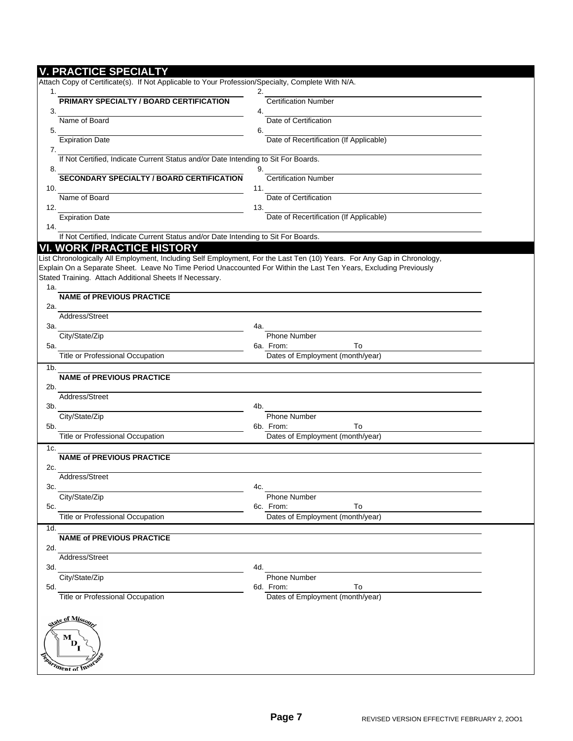## **V. PRACTICE SPECIALTY**

|     | Attach Copy of Certificate(s). If Not Applicable to Your Profession/Specialty, Complete With N/A.                                                            |                                                     |  |
|-----|--------------------------------------------------------------------------------------------------------------------------------------------------------------|-----------------------------------------------------|--|
| 1.  | <b>PRIMARY SPECIALTY / BOARD CERTIFICATION</b>                                                                                                               | 2.<br><b>Certification Number</b>                   |  |
| 3.  |                                                                                                                                                              | 4.                                                  |  |
| 5.  | Name of Board                                                                                                                                                | Date of Certification<br>6.                         |  |
| 7.  | <b>Expiration Date</b>                                                                                                                                       | Date of Recertification (If Applicable)             |  |
| 8.  | If Not Certified, Indicate Current Status and/or Date Intending to Sit For Boards.                                                                           | 9.                                                  |  |
| 10. | <b>SECONDARY SPECIALTY / BOARD CERTIFICATION</b>                                                                                                             | <b>Certification Number</b><br>11.                  |  |
| 12. | Name of Board                                                                                                                                                | Date of Certification<br>13.                        |  |
| 14. | <b>Expiration Date</b>                                                                                                                                       | Date of Recertification (If Applicable)             |  |
|     | If Not Certified, Indicate Current Status and/or Date Intending to Sit For Boards.                                                                           |                                                     |  |
|     | <b>VI. WORK /PRACTICE HISTORY</b><br>List Chronologically All Employment, Including Self Employment, For the Last Ten (10) Years. For Any Gap in Chronology, |                                                     |  |
|     | Explain On a Separate Sheet. Leave No Time Period Unaccounted For Within the Last Ten Years, Excluding Previously                                            |                                                     |  |
| 1a. | Stated Training. Attach Additional Sheets If Necessary.                                                                                                      |                                                     |  |
| 2a. | <b>NAME of PREVIOUS PRACTICE</b>                                                                                                                             |                                                     |  |
|     | Address/Street                                                                                                                                               |                                                     |  |
| За. | City/State/Zip                                                                                                                                               | 4a.<br><b>Phone Number</b>                          |  |
| 5a. |                                                                                                                                                              | 6a. From:<br>To                                     |  |
|     | Title or Professional Occupation                                                                                                                             | Dates of Employment (month/year)                    |  |
| 1b. |                                                                                                                                                              |                                                     |  |
| 2b. | <b>NAME of PREVIOUS PRACTICE</b>                                                                                                                             |                                                     |  |
|     | Address/Street                                                                                                                                               |                                                     |  |
| 3b. |                                                                                                                                                              | 4b.                                                 |  |
|     | City/State/Zip                                                                                                                                               | Phone Number                                        |  |
| 5b. | Title or Professional Occupation                                                                                                                             | 6b. From:<br>To<br>Dates of Employment (month/year) |  |
| 1c. |                                                                                                                                                              |                                                     |  |
| 2c. | <b>NAME of PREVIOUS PRACTICE</b>                                                                                                                             |                                                     |  |
|     | Address/Street                                                                                                                                               |                                                     |  |
| 3c. |                                                                                                                                                              | 4c.                                                 |  |
| 5c. | City/State/Zip                                                                                                                                               | <b>Phone Number</b><br>To<br>6c. From:              |  |
|     | <b>Title or Professional Occupation</b>                                                                                                                      | Dates of Employment (month/year)                    |  |
| 1d. |                                                                                                                                                              |                                                     |  |
| 2d. | <b>NAME of PREVIOUS PRACTICE</b>                                                                                                                             |                                                     |  |
|     | Address/Street                                                                                                                                               |                                                     |  |
| 3d. | City/State/Zip                                                                                                                                               | 4d.<br><b>Phone Number</b>                          |  |
| 5d. |                                                                                                                                                              | 6d. From:<br>To                                     |  |
|     | <b>Title or Professional Occupation</b>                                                                                                                      | Dates of Employment (month/year)                    |  |
|     | tate of Missou                                                                                                                                               |                                                     |  |
|     | м<br>D.                                                                                                                                                      |                                                     |  |
|     | <i>Iment of Insu</i>                                                                                                                                         |                                                     |  |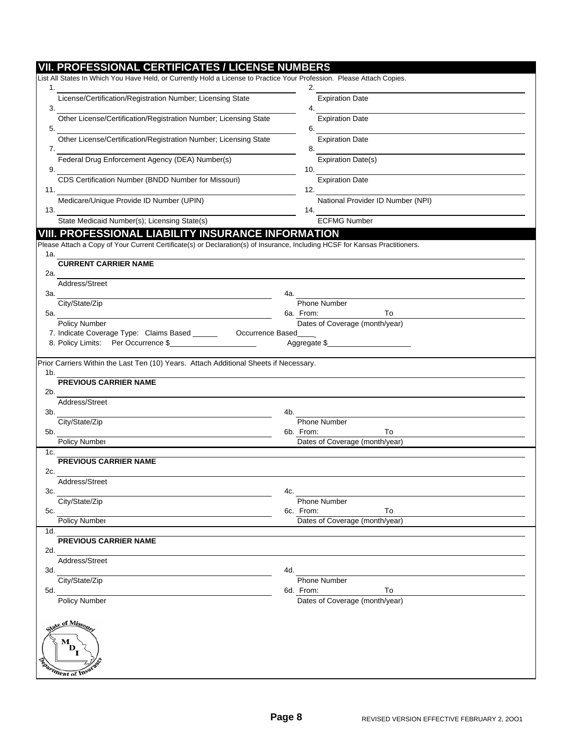|     | <b>VII. PROFESSIONAL CERTIFICATES / LICENSE NUMBERS</b>                                                                                                                                                           |                                          |
|-----|-------------------------------------------------------------------------------------------------------------------------------------------------------------------------------------------------------------------|------------------------------------------|
|     | List All States In Which You Have Held, or Currently Hold a License to Practice Your Profession. Please Attach Copies.                                                                                            |                                          |
| 1.  |                                                                                                                                                                                                                   | 2.                                       |
| 3.  | License/Certification/Registration Number; Licensing State                                                                                                                                                        | <b>Expiration Date</b><br>4.             |
| 5.  | Other License/Certification/Registration Number; Licensing State                                                                                                                                                  | <b>Expiration Date</b><br>6.             |
| 7.  | Other License/Certification/Registration Number; Licensing State                                                                                                                                                  | <b>Expiration Date</b><br>8.             |
| 9.  | Federal Drug Enforcement Agency (DEA) Number(s)                                                                                                                                                                   | <b>Expiration Date(s)</b><br>10.         |
| 11. | CDS Certification Number (BNDD Number for Missouri)                                                                                                                                                               | <b>Expiration Date</b><br>12.            |
| 13. | Medicare/Unique Provide ID Number (UPIN)                                                                                                                                                                          | National Provider ID Number (NPI)<br>14. |
|     | State Medicaid Number(s); Licensing State(s)                                                                                                                                                                      | <b>ECFMG Number</b>                      |
| 1a. | VIII. PROFESSIONAL LIABILITY INSURANCE INFORMATION<br>Please Attach a Copy of Your Current Certificate(s) or Declaration(s) of Insurance, Including HCSF for Kansas Practitioners.<br><b>CURRENT CARRIER NAME</b> |                                          |
| 2a. | Address/Street                                                                                                                                                                                                    |                                          |
| 3а. | City/State/Zip                                                                                                                                                                                                    | 4a.<br>Phone Number                      |
| 5а. |                                                                                                                                                                                                                   | 6a. From:<br>To                          |
|     | Policy Number<br>7. Indicate Coverage Type: Claims Based ______<br>Occurrence Based                                                                                                                               | Dates of Coverage (month/year)           |
|     | 8. Policy Limits: Per Occurrence \$                                                                                                                                                                               | Aggregate \$                             |
| 1b. | Prior Carriers Within the Last Ten (10) Years. Attach Additional Sheets if Necessary.                                                                                                                             |                                          |
| 2b. | <b>PREVIOUS CARRIER NAME</b>                                                                                                                                                                                      |                                          |
|     | Address/Street                                                                                                                                                                                                    |                                          |
| 3b. |                                                                                                                                                                                                                   | 4b.                                      |
|     | City/State/Zip                                                                                                                                                                                                    | Phone Number                             |
| 5b. |                                                                                                                                                                                                                   | 6b. From:<br>To                          |
| 1c. | Policy Number                                                                                                                                                                                                     | Dates of Coverage (month/year)           |
| 2c. | <b>PREVIOUS CARRIER NAME</b>                                                                                                                                                                                      |                                          |
| 3c. | Address/Street                                                                                                                                                                                                    | 4с.                                      |
|     | City/State/Zip                                                                                                                                                                                                    | <b>Phone Number</b>                      |
| 5c. |                                                                                                                                                                                                                   | 6c. From:<br>To                          |
| 1d. | Policy Number                                                                                                                                                                                                     | Dates of Coverage (month/year)           |
| 2d. | PREVIOUS CARRIER NAME                                                                                                                                                                                             |                                          |
| 3d. | Address/Street                                                                                                                                                                                                    | 4d.                                      |
| 5d. | City/State/Zip                                                                                                                                                                                                    | <b>Phone Number</b><br>6d. From:<br>To   |
|     | <b>Policy Number</b>                                                                                                                                                                                              | Dates of Coverage (month/year)           |
|     | tate of Misso<br>м<br>D<br>Iment of Insur                                                                                                                                                                         |                                          |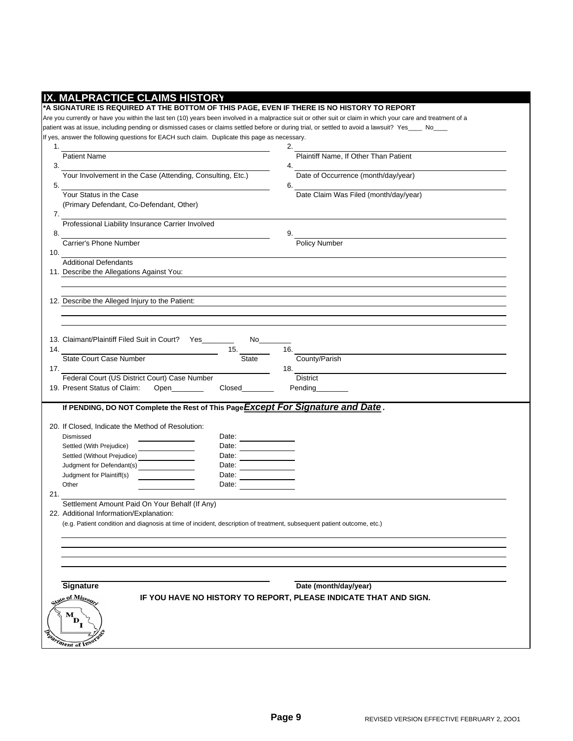| Plaintiff Name, If Other Than Patient<br>Date of Occurrence (month/day/year)<br>Date Claim Was Filed (month/day/year)<br>Policy Number |
|----------------------------------------------------------------------------------------------------------------------------------------|
|                                                                                                                                        |
|                                                                                                                                        |
|                                                                                                                                        |
|                                                                                                                                        |
|                                                                                                                                        |
|                                                                                                                                        |
|                                                                                                                                        |
|                                                                                                                                        |
|                                                                                                                                        |
|                                                                                                                                        |
|                                                                                                                                        |
|                                                                                                                                        |
|                                                                                                                                        |
|                                                                                                                                        |
|                                                                                                                                        |
|                                                                                                                                        |
|                                                                                                                                        |
|                                                                                                                                        |
| County/Parish                                                                                                                          |
|                                                                                                                                        |
| Pending                                                                                                                                |
|                                                                                                                                        |
| If PENDING, DO NOT Complete the Rest of This Page Except For Signature and Date.                                                       |
|                                                                                                                                        |
|                                                                                                                                        |
|                                                                                                                                        |
|                                                                                                                                        |
|                                                                                                                                        |
|                                                                                                                                        |
|                                                                                                                                        |
|                                                                                                                                        |
|                                                                                                                                        |
|                                                                                                                                        |
|                                                                                                                                        |
|                                                                                                                                        |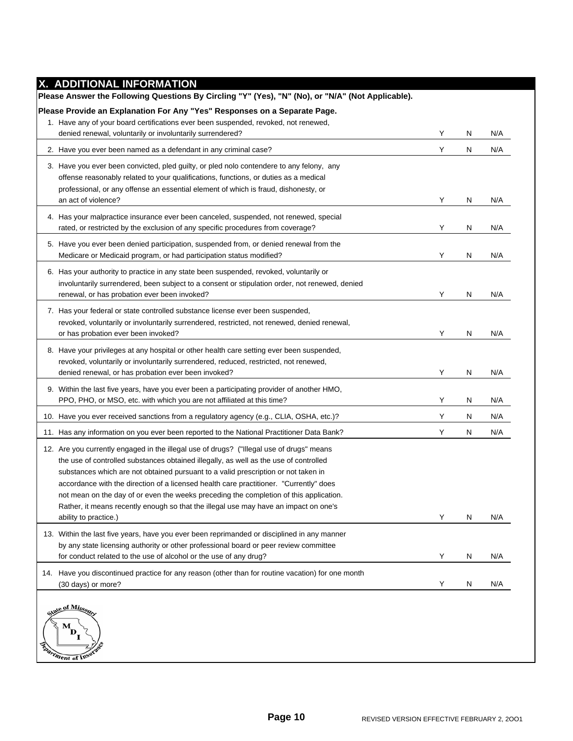| X. ADDITIONAL INFORMATION                                                                                                                                                                                                                                                                                                                                                                                                                                                                                                                                                    |   |   |     |
|------------------------------------------------------------------------------------------------------------------------------------------------------------------------------------------------------------------------------------------------------------------------------------------------------------------------------------------------------------------------------------------------------------------------------------------------------------------------------------------------------------------------------------------------------------------------------|---|---|-----|
| Please Answer the Following Questions By Circling "Y" (Yes), "N" (No), or "N/A" (Not Applicable).                                                                                                                                                                                                                                                                                                                                                                                                                                                                            |   |   |     |
| Please Provide an Explanation For Any "Yes" Responses on a Separate Page.                                                                                                                                                                                                                                                                                                                                                                                                                                                                                                    |   |   |     |
| 1. Have any of your board certifications ever been suspended, revoked, not renewed,                                                                                                                                                                                                                                                                                                                                                                                                                                                                                          |   |   |     |
| denied renewal, voluntarily or involuntarily surrendered?                                                                                                                                                                                                                                                                                                                                                                                                                                                                                                                    | Y | N | N/A |
| 2. Have you ever been named as a defendant in any criminal case?                                                                                                                                                                                                                                                                                                                                                                                                                                                                                                             | Υ | N | N/A |
| 3. Have you ever been convicted, pled guilty, or pled nolo contendere to any felony, any<br>offense reasonably related to your qualifications, functions, or duties as a medical<br>professional, or any offense an essential element of which is fraud, dishonesty, or<br>an act of violence?                                                                                                                                                                                                                                                                               | Y | N | N/A |
| 4. Has your malpractice insurance ever been canceled, suspended, not renewed, special<br>rated, or restricted by the exclusion of any specific procedures from coverage?                                                                                                                                                                                                                                                                                                                                                                                                     | Υ | N | N/A |
| 5. Have you ever been denied participation, suspended from, or denied renewal from the<br>Medicare or Medicaid program, or had participation status modified?                                                                                                                                                                                                                                                                                                                                                                                                                | Y | N | N/A |
| 6. Has your authority to practice in any state been suspended, revoked, voluntarily or<br>involuntarily surrendered, been subject to a consent or stipulation order, not renewed, denied<br>renewal, or has probation ever been invoked?                                                                                                                                                                                                                                                                                                                                     | Y | N | N/A |
| 7. Has your federal or state controlled substance license ever been suspended,<br>revoked, voluntarily or involuntarily surrendered, restricted, not renewed, denied renewal,<br>or has probation ever been invoked?                                                                                                                                                                                                                                                                                                                                                         | Y | N | N/A |
| 8. Have your privileges at any hospital or other health care setting ever been suspended,<br>revoked, voluntarily or involuntarily surrendered, reduced, restricted, not renewed,<br>denied renewal, or has probation ever been invoked?                                                                                                                                                                                                                                                                                                                                     | Υ | N | N/A |
| 9. Within the last five years, have you ever been a participating provider of another HMO,<br>PPO, PHO, or MSO, etc. with which you are not affiliated at this time?                                                                                                                                                                                                                                                                                                                                                                                                         | Y | N | N/A |
| 10. Have you ever received sanctions from a regulatory agency (e.g., CLIA, OSHA, etc.)?                                                                                                                                                                                                                                                                                                                                                                                                                                                                                      | Y | N | N/A |
| 11. Has any information on you ever been reported to the National Practitioner Data Bank?                                                                                                                                                                                                                                                                                                                                                                                                                                                                                    | Υ | N | N/A |
| 12. Are you currently engaged in the illegal use of drugs? ("Illegal use of drugs" means<br>the use of controlled substances obtained illegally, as well as the use of controlled<br>substances which are not obtained pursuant to a valid prescription or not taken in<br>accordance with the direction of a licensed health care practitioner. "Currently" does<br>not mean on the day of or even the weeks preceding the completion of this application.<br>Rather, it means recently enough so that the illegal use may have an impact on one's<br>ability to practice.) | Y | N | N/A |
| 13. Within the last five years, have you ever been reprimanded or disciplined in any manner<br>by any state licensing authority or other professional board or peer review committee<br>for conduct related to the use of alcohol or the use of any drug?                                                                                                                                                                                                                                                                                                                    | Y | N | N/A |
| 14. Have you discontinued practice for any reason (other than for routine vacation) for one month<br>(30 days) or more?                                                                                                                                                                                                                                                                                                                                                                                                                                                      | Y | N | N/A |
| e of Missou<br>$\mathbf{M}_{\mathbf{D}_{\mathbf{I}}}$<br><i>ment of Ins</i>                                                                                                                                                                                                                                                                                                                                                                                                                                                                                                  |   |   |     |